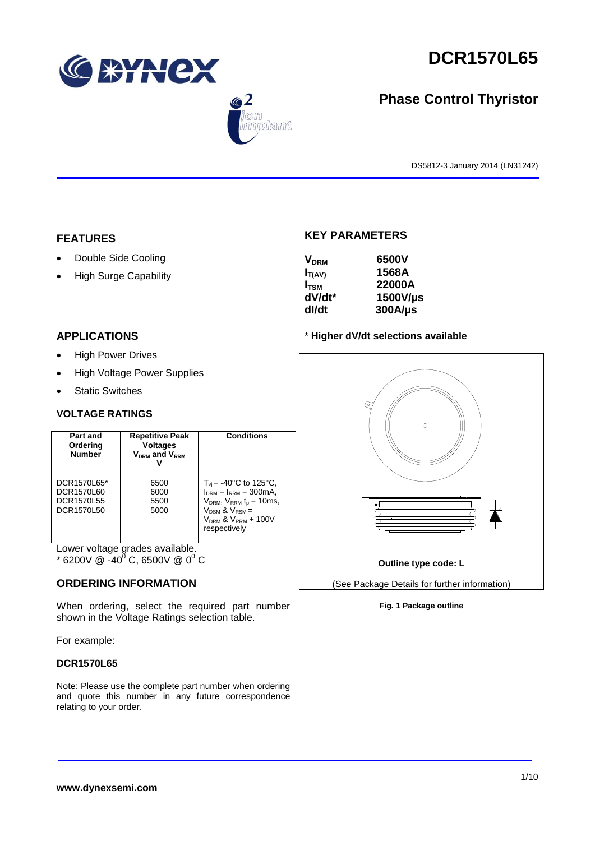





# **Phase Control Thyristor**

DS5812-3 January 2014 (LN31242)

### **FEATURES**

- Double Side Cooling
- High Surge Capability

### **APPLICATIONS**

- High Power Drives
- High Voltage Power Supplies
- Static Switches

### **VOLTAGE RATINGS**

| Part and<br>Ordering<br><b>Number</b>                 | <b>Repetitive Peak</b><br><b>Voltages</b><br>$V_{DRM}$ and $V_{RRM}$ | <b>Conditions</b>                                                                                                                                                                                |
|-------------------------------------------------------|----------------------------------------------------------------------|--------------------------------------------------------------------------------------------------------------------------------------------------------------------------------------------------|
| DCR1570L65*<br>DCR1570L60<br>DCR1570L55<br>DCR1570L50 | 6500<br>6000<br>5500<br>5000                                         | $T_{\rm vi}$ = -40°C to 125°C,<br>$I_{DRM} = I_{RRM} = 300 \text{mA}$<br>$V_{DRM}$ , $V_{RRM}$ t <sub>p</sub> = 10ms,<br>$V_{DSM}$ & $V_{RSM}$ =<br>$V_{DRM}$ & $V_{RRM}$ + 100V<br>respectively |

Lower voltage grades available.

 $*$  6200V @ -40<sup>0</sup> C, 6500V @ 0<sup>0</sup> C

### **ORDERING INFORMATION**

When ordering, select the required part number shown in the Voltage Ratings selection table.

For example:

### **DCR1570L65**

Note: Please use the complete part number when ordering and quote this number in any future correspondence relating to your order.

# **KEY PARAMETERS**

| <b>V<sub>DRM</sub></b> | 6500V        |
|------------------------|--------------|
| $I_{T(AV)}$            | 1568A        |
| $I_{\rm TSM}$          | 22000A       |
| dV/dt*                 | 1500V/µs     |
| dl/dt                  | $300A/\mu s$ |

### \* **Higher dV/dt selections available**



### **Fig. 1 Package outline**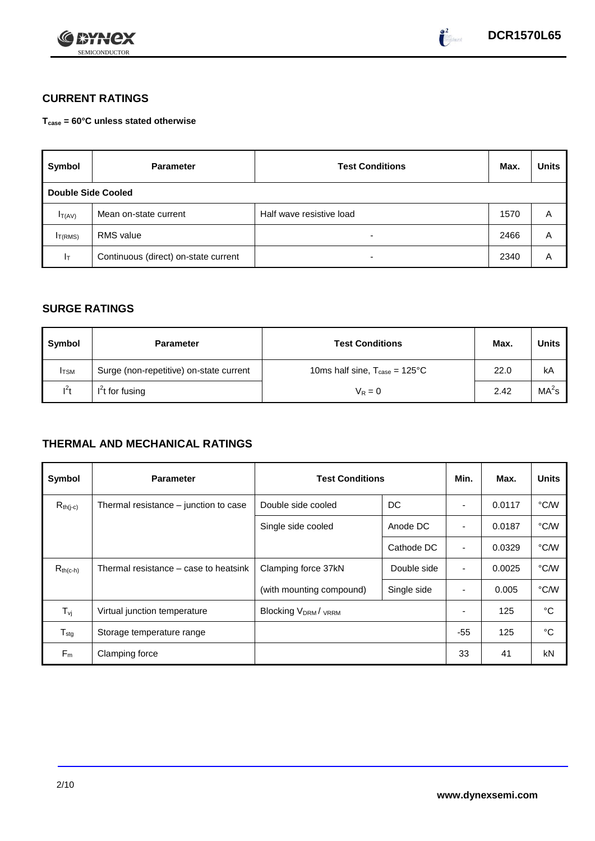

# **CURRENT RATINGS**

**Tcase = 60°C unless stated otherwise**

| Symbol                    | <b>Parameter</b>                     | <b>Test Conditions</b>   | Max. | <b>Units</b> |
|---------------------------|--------------------------------------|--------------------------|------|--------------|
| <b>Double Side Cooled</b> |                                      |                          |      |              |
| $I_{T(AV)}$               | Mean on-state current                | Half wave resistive load | 1570 | Α            |
| I <sub>T(RMS)</sub>       | <b>RMS</b> value                     | $\overline{\phantom{0}}$ | 2466 | A            |
| ΙT                        | Continuous (direct) on-state current | $\overline{\phantom{a}}$ | 2340 | Α            |

# **SURGE RATINGS**

| Symbol       | <b>Parameter</b>                        | <b>Test Conditions</b>                            | Max. | <b>Units</b>      |
|--------------|-----------------------------------------|---------------------------------------------------|------|-------------------|
| <b>I</b> TSM | Surge (non-repetitive) on-state current | 10ms half sine, $T_{\text{case}} = 125^{\circ}$ C | 22.0 | kA                |
| $l^2t$       | $I2t$ for fusing                        | $V_R = 0$                                         | 2.42 | MA <sup>2</sup> s |

# **THERMAL AND MECHANICAL RATINGS**

| Symbol           | <b>Parameter</b>                      |                           | <b>Test Conditions</b> |                          | Max.   | <b>Units</b> |
|------------------|---------------------------------------|---------------------------|------------------------|--------------------------|--------|--------------|
| $R_{th(j-c)}$    | Thermal resistance – junction to case | Double side cooled        | DC                     |                          | 0.0117 | °C/W         |
|                  |                                       | Single side cooled        | Anode DC               |                          | 0.0187 | °C/W         |
|                  |                                       |                           | Cathode DC             | $\overline{\phantom{a}}$ | 0.0329 | °C/W         |
| $R_{th(c-h)}$    | Thermal resistance – case to heatsink | Clamping force 37kN       | Double side            | $\blacksquare$           | 0.0025 | °C/W         |
|                  |                                       | (with mounting compound)  | Single side            | ٠                        | 0.005  | °C/W         |
| $T_{\rm vj}$     | Virtual junction temperature          | <b>Blocking VDRM/VRRM</b> |                        |                          | 125    | °C           |
| $T_{\text{stg}}$ | Storage temperature range             |                           |                        | $-55$                    | 125    | °C           |
| $F_m$            | Clamping force                        |                           |                        | 33                       | 41     | kN           |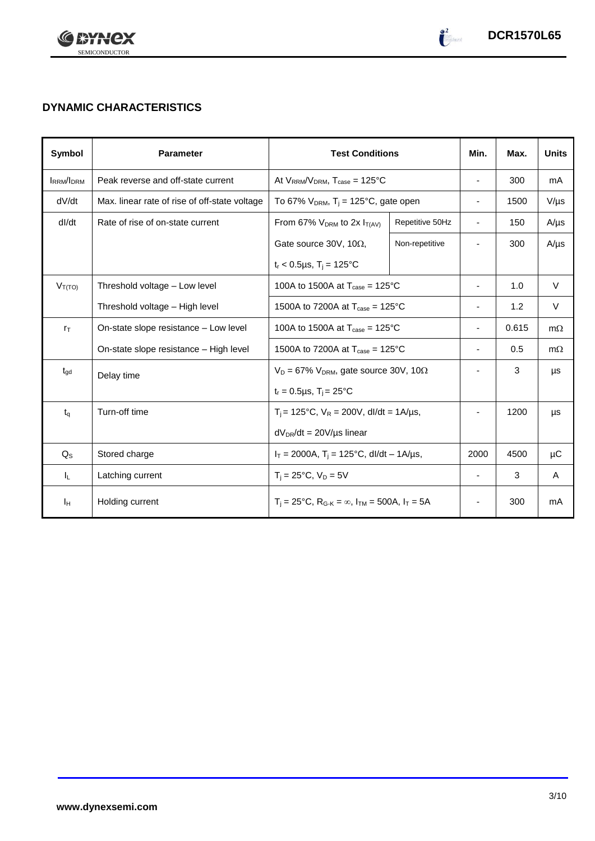

# **DYNAMIC CHARACTERISTICS**

| <b>Symbol</b>    | <b>Parameter</b>                              | <b>Test Conditions</b>                                                                          |                 | Min.                         | Max.  | <b>Units</b> |
|------------------|-----------------------------------------------|-------------------------------------------------------------------------------------------------|-----------------|------------------------------|-------|--------------|
| <b>IRRM/IDRM</b> | Peak reverse and off-state current            | At $V_{RRM}/V_{DRM}$ , $T_{case} = 125^{\circ}C$                                                |                 | $\overline{\phantom{a}}$     | 300   | mA           |
| dV/dt            | Max. linear rate of rise of off-state voltage | To 67% $V_{DRM}$ , T <sub>j</sub> = 125°C, gate open                                            |                 | $\qquad \qquad \blacksquare$ | 1500  | $V/\mu s$    |
| dl/dt            | Rate of rise of on-state current              | From 67% $V_{DRM}$ to 2x $I_{T(AV)}$                                                            | Repetitive 50Hz | $\overline{\phantom{a}}$     | 150   | $A/\mu s$    |
|                  |                                               | Gate source 30V, 10 $\Omega$ ,                                                                  | Non-repetitive  |                              | 300   | $A/\mu s$    |
|                  |                                               | $t_r < 0.5 \mu s$ , $T_i = 125$ °C                                                              |                 |                              |       |              |
| $V_{T(TO)}$      | Threshold voltage - Low level                 | 100A to 1500A at $T_{\text{case}} = 125^{\circ}$ C                                              |                 | $\overline{\phantom{a}}$     | 1.0   | $\vee$       |
|                  | Threshold voltage - High level                | 1500A to 7200A at $T_{\text{case}} = 125^{\circ}$ C                                             |                 | $\qquad \qquad \blacksquare$ | 1.2   | V            |
| $r_{\text{T}}$   | On-state slope resistance – Low level         | 100A to 1500A at $T_{\text{case}} = 125^{\circ}$ C                                              |                 | $\overline{\phantom{a}}$     | 0.615 | $m\Omega$    |
|                  | On-state slope resistance – High level        | 1500A to 7200A at $T_{\text{case}} = 125^{\circ}$ C                                             |                 | $\overline{\phantom{a}}$     | 0.5   | $m\Omega$    |
| $t_{\rm gd}$     | Delay time                                    | $V_D = 67\% V_{DRM}$ , gate source 30V, 10 $\Omega$                                             |                 |                              | 3     | μs           |
|                  |                                               | $t_r = 0.5 \mu s$ , $T_i = 25^{\circ}C$                                                         |                 |                              |       |              |
| $t_q$            | Turn-off time                                 | $T_i$ = 125°C, $V_R$ = 200V, dl/dt = 1A/µs,                                                     |                 |                              | 1200  | μs           |
|                  |                                               | $dV_{DR}/dt = 20V/\mu s$ linear                                                                 |                 |                              |       |              |
| $Q_{\rm S}$      | Stored charge                                 | $I_T = 2000A$ , $T_i = 125^{\circ}C$ , dl/dt – 1A/µs,                                           |                 | 2000                         | 4500  | μC           |
| IL.              | Latching current                              | $T_i = 25^{\circ}C$ , $V_D = 5V$                                                                |                 | $\overline{\phantom{a}}$     | 3     | A            |
| Iн               | Holding current                               | $T_i = 25^{\circ}C$ , R <sub>G-K</sub> = $\infty$ , I <sub>TM</sub> = 500A, I <sub>T</sub> = 5A |                 | $\overline{\phantom{a}}$     | 300   | mA           |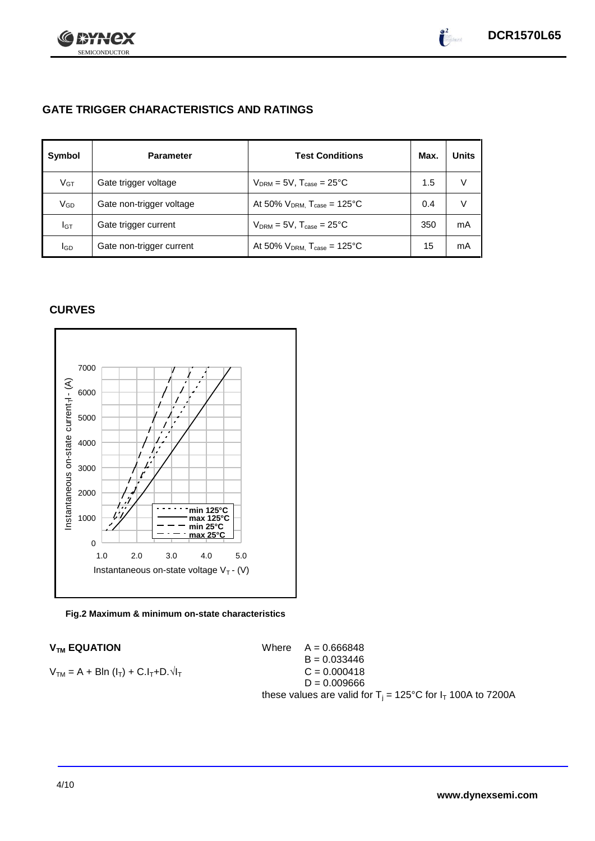

# **GATE TRIGGER CHARACTERISTICS AND RATINGS**

| Symbol          | <b>Parameter</b>         | <b>Test Conditions</b>                       | Max. | <b>Units</b> |
|-----------------|--------------------------|----------------------------------------------|------|--------------|
| V <sub>GT</sub> | Gate trigger voltage     | $V_{DRM} = 5V$ , $T_{case} = 25^{\circ}C$    | 1.5  | V            |
| VGD             | Gate non-trigger voltage | At 50% $V_{DRM}$ , $T_{case} = 125^{\circ}C$ | 0.4  | V            |
| IGТ             | Gate trigger current     | $V_{DRM}$ = 5V, $T_{case}$ = 25°C            | 350  | mA           |
| <b>I</b> GD     | Gate non-trigger current | At 50% $V_{DRM}$ , $T_{case} = 125^{\circ}C$ | 15   | mA           |

# **CURVES**



### **Fig.2 Maximum & minimum on-state characteristics**

 $V_{TM}$  **EQUATION** Where  $A = 0.666848$  $B = 0.033446$  $V_{TM} = A + B\ln(I_T) + C.I_T + D.\sqrt{I_T}$  C = 0.000418  $D = 0.009666$ these values are valid for  $T_i = 125^{\circ}C$  for  $I_T$  100A to 7200A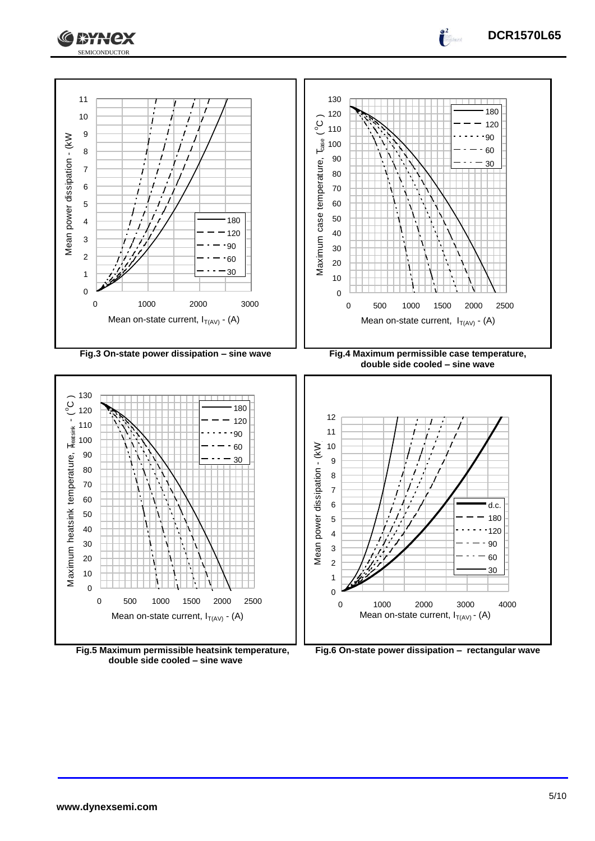



**Fig.5 Maximum permissible heatsink temperature, double side cooled – sine wave**

**Fig.6 On-state power dissipation – rectangular wave**

**DCR1570L65**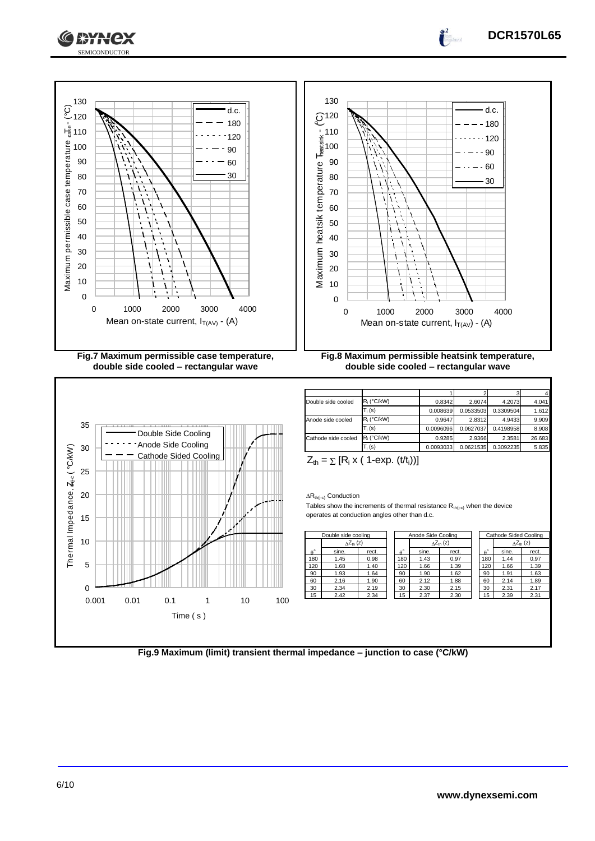



| $R_i$ (°C/kW) | 0.8342    | 2.6074    | 4.2073    | 4.041  |
|---------------|-----------|-----------|-----------|--------|
| $T_i$ (s)     | 0.008639  | 0.0533503 | 0.3309504 | 1.612  |
| $R_i$ (°C/kW) | 0.9647    | 2.8312    | 4.9433    | 9.909  |
| $T_i$ (s)     | 0.0096096 | 0.0627037 | 0.4198958 | 8.908  |
| $R_i$ (°C/kW) | 0.9285    | 2.9366    | 2.3581    | 26.683 |
| $T_i$ (s)     | 0.0093033 | 0.0621535 | 0.3092235 | 5.835  |
|               |           |           |           |        |

$$
Z_{th} = \sum [R_i \times (1-\exp. (t/t_i))]
$$

 $\Delta R_{th(j-c)}$  Conduction

Tables show the increments of thermal resistance  $R_{th(j-c)}$  when the device operates at conduction angles other than d.c.

|                  | Double side cooling       |       | Anode Side Cooling |       |                     | Cathode Sided Cooling |                            |       |
|------------------|---------------------------|-------|--------------------|-------|---------------------|-----------------------|----------------------------|-------|
|                  | $\Delta Z_{\text{th}}(z)$ |       |                    |       | $\wedge Z_{th}$ (z) |                       | $\Delta Z_{\text{th}}$ (z) |       |
| $\theta^{\circ}$ | sine.                     | rect. | $\theta^{\circ}$   | sine. | rect.               | $A^{\circ}$           | sine.                      | rect. |
| 180              | 1.45                      | 0.98  | 180                | 1.43  | 0.97                | 180                   | 1.44                       | 0.97  |
| 120              | 1.68                      | 1.40  | 120                | 1.66  | 1.39                | 120                   | 1.66                       | 1.39  |
| 90               | 1.93                      | 1.64  | 90                 | 1.90  | 1.62                | 90                    | 1.91                       | 1.63  |
| 60               | 2.16                      | 1.90  | 60                 | 2.12  | 1.88                | 60                    | 2.14                       | 1.89  |
| 30               | 2.34                      | 2.19  | 30                 | 2.30  | 2.15                | 30                    | 2.31                       | 2.17  |
| 15               | 2.42                      | 2.34  | 15                 | 2.37  | 2.30                | 15                    | 2.39                       | 2.31  |
|                  |                           |       |                    |       |                     |                       |                            |       |

|          |     | Cathode Sided Cooling |       |
|----------|-----|-----------------------|-------|
|          |     | $\wedge Z_{th}$ (z)   |       |
| $\theta$ |     | sine.                 | rect. |
|          | 180 | 1.44                  | 0.97  |
|          | 120 | 1.66                  | 1.39  |
|          | 90  | 1.91                  | 1.63  |
|          | 60  | 2.14                  | 1.89  |
|          | 30  | 2.31                  | 2.17  |
|          | 15  | 2.39                  | 2.31  |

**DCR1570L65**

 $\int_0^2$ 

**Fig.9 Maximum (limit) transient thermal impedance – junction to case (°C/kW)**

**XXX**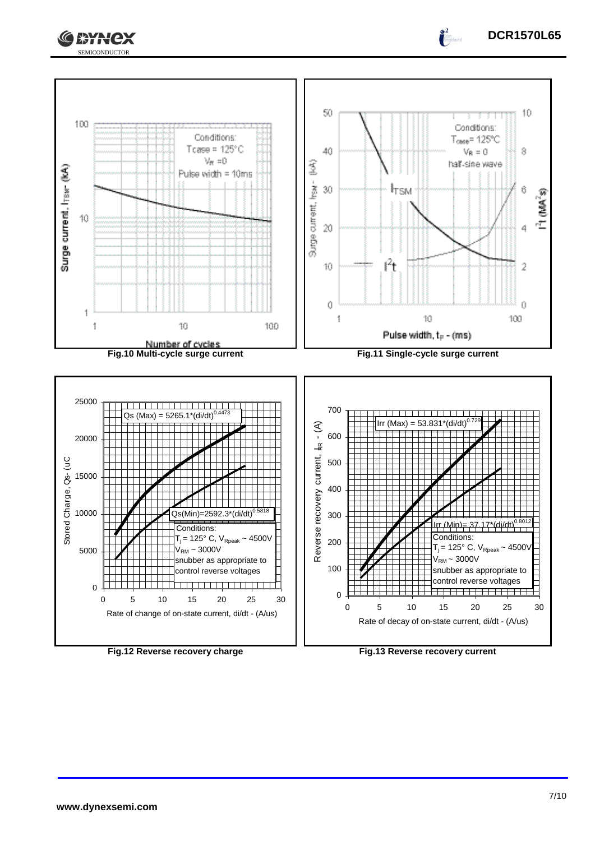



**DCR1570L65**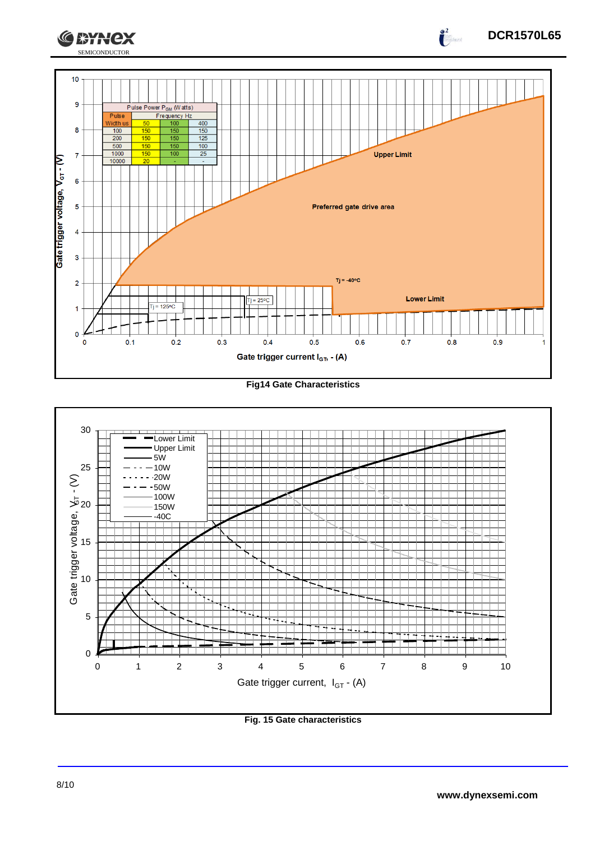

### **Fig14 Gate Characteristics**



**Fig. 15 Gate characteristics**

**DCR1570L65**

 $\int_{0}^{2}$ 

**CEYNEX**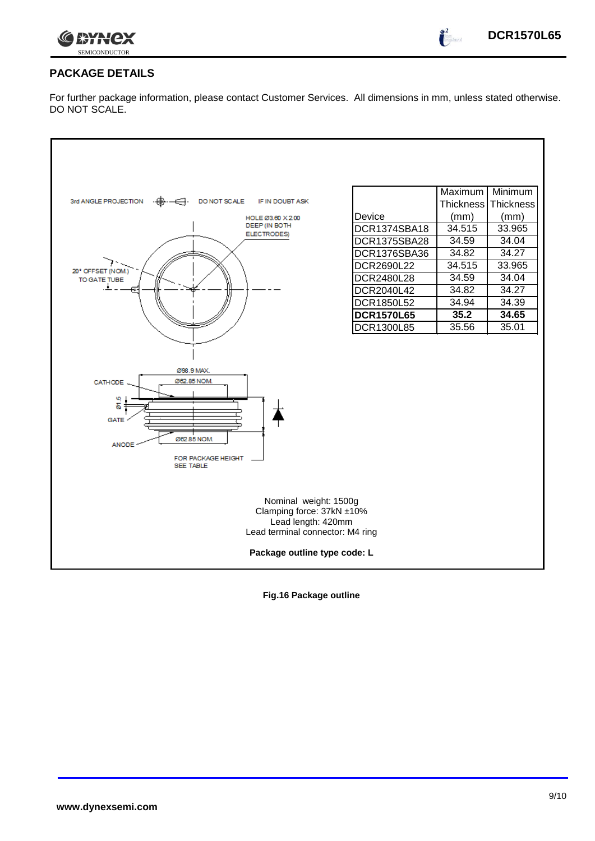

 $\bullet^2$ 

# **PACKAGE DETAILS**

For further package information, please contact Customer Services. All dimensions in mm, unless stated otherwise. DO NOT SCALE.

|                                                                                                                                              |                   | Maximum          | Minimum   |  |
|----------------------------------------------------------------------------------------------------------------------------------------------|-------------------|------------------|-----------|--|
| 3rd ANGLE PROJECTION<br>DO NOT SCALE<br>IF IN DOUBT ASK                                                                                      |                   | <b>Thickness</b> | Thickness |  |
| HOLE Ø3.60 X 2.00                                                                                                                            | Device            | (mm)             | (mm)      |  |
| DEEP (IN BOTH<br><b>ELECTRODES)</b>                                                                                                          | DCR1374SBA18      | 34.515           | 33.965    |  |
|                                                                                                                                              | DCR1375SBA28      | 34.59            | 34.04     |  |
|                                                                                                                                              | DCR1376SBA36      | 34.82            | 34.27     |  |
| 20° OFFSET (NOM.)                                                                                                                            | DCR2690L22        | 34.515           | 33.965    |  |
| TO GATE TUBE                                                                                                                                 | DCR2480L28        | 34.59            | 34.04     |  |
|                                                                                                                                              | DCR2040L42        | 34.82            | 34.27     |  |
|                                                                                                                                              | DCR1850L52        | 34.94            | 34.39     |  |
|                                                                                                                                              | <b>DCR1570L65</b> | 35.2             | 34.65     |  |
|                                                                                                                                              | <b>DCR1300L85</b> | 35.56            | 35.01     |  |
| Ø98.9 MAX.<br>Ø62.85 NOM.<br>CATHODE<br>01.5<br><b>GATE</b><br>Ø62.85 NOM.<br><b>ANODE</b><br>FOR PACKAGE HEIGHT<br><b>SEE TABLE</b>         |                   |                  |           |  |
| Nominal weight: 1500g<br>Clamping force: 37kN ±10%<br>Lead length: 420mm<br>Lead terminal connector: M4 ring<br>Package outline type code: L |                   |                  |           |  |

**Fig.16 Package outline**